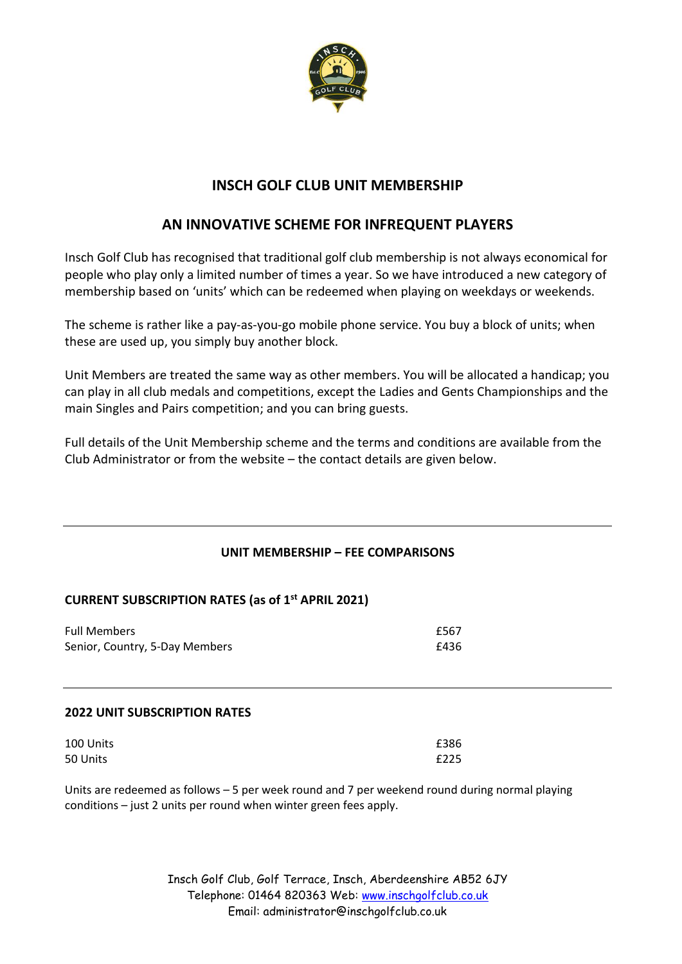

# **INSCH GOLF CLUB UNIT MEMBERSHIP**

# **AN INNOVATIVE SCHEME FOR INFREQUENT PLAYERS**

Insch Golf Club has recognised that traditional golf club membership is not always economical for people who play only a limited number of times a year. So we have introduced a new category of membership based on 'units' which can be redeemed when playing on weekdays or weekends.

The scheme is rather like a pay-as-you-go mobile phone service. You buy a block of units; when these are used up, you simply buy another block.

Unit Members are treated the same way as other members. You will be allocated a handicap; you can play in all club medals and competitions, except the Ladies and Gents Championships and the main Singles and Pairs competition; and you can bring guests.

Full details of the Unit Membership scheme and the terms and conditions are available from the Club Administrator or from the website – the contact details are given below.

# **UNIT MEMBERSHIP – FEE COMPARISONS**

# **CURRENT SUBSCRIPTION RATES (as of 1 st APRIL 2021)**

| <b>Full Members</b>            | £567 |
|--------------------------------|------|
| Senior, Country, 5-Day Members | £436 |

## **2022 UNIT SUBSCRIPTION RATES**

| 100 Units | £386 |
|-----------|------|
| 50 Units  | £225 |

Units are redeemed as follows – 5 per week round and 7 per weekend round during normal playing conditions – just 2 units per round when winter green fees apply.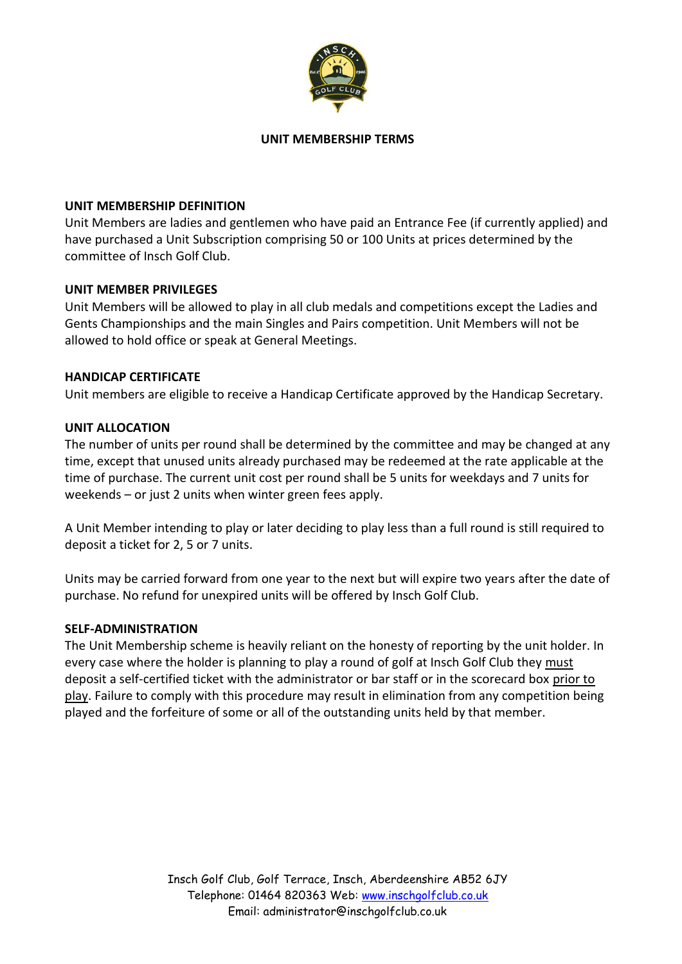

#### **UNIT MEMBERSHIP TERMS**

#### **UNIT MEMBERSHIP DEFINITION**

Unit Members are ladies and gentlemen who have paid an Entrance Fee (if currently applied) and have purchased a Unit Subscription comprising 50 or 100 Units at prices determined by the committee of Insch Golf Club.

## **UNIT MEMBER PRIVILEGES**

Unit Members will be allowed to play in all club medals and competitions except the Ladies and Gents Championships and the main Singles and Pairs competition. Unit Members will not be allowed to hold office or speak at General Meetings.

#### **HANDICAP CERTIFICATE**

Unit members are eligible to receive a Handicap Certificate approved by the Handicap Secretary.

#### **UNIT ALLOCATION**

The number of units per round shall be determined by the committee and may be changed at any time, except that unused units already purchased may be redeemed at the rate applicable at the time of purchase. The current unit cost per round shall be 5 units for weekdays and 7 units for weekends – or just 2 units when winter green fees apply.

A Unit Member intending to play or later deciding to play less than a full round is still required to deposit a ticket for 2, 5 or 7 units.

Units may be carried forward from one year to the next but will expire two years after the date of purchase. No refund for unexpired units will be offered by Insch Golf Club.

#### **SELF-ADMINISTRATION**

The Unit Membership scheme is heavily reliant on the honesty of reporting by the unit holder. In every case where the holder is planning to play a round of golf at Insch Golf Club they must deposit a self-certified ticket with the administrator or bar staff or in the scorecard box prior to play. Failure to comply with this procedure may result in elimination from any competition being played and the forfeiture of some or all of the outstanding units held by that member.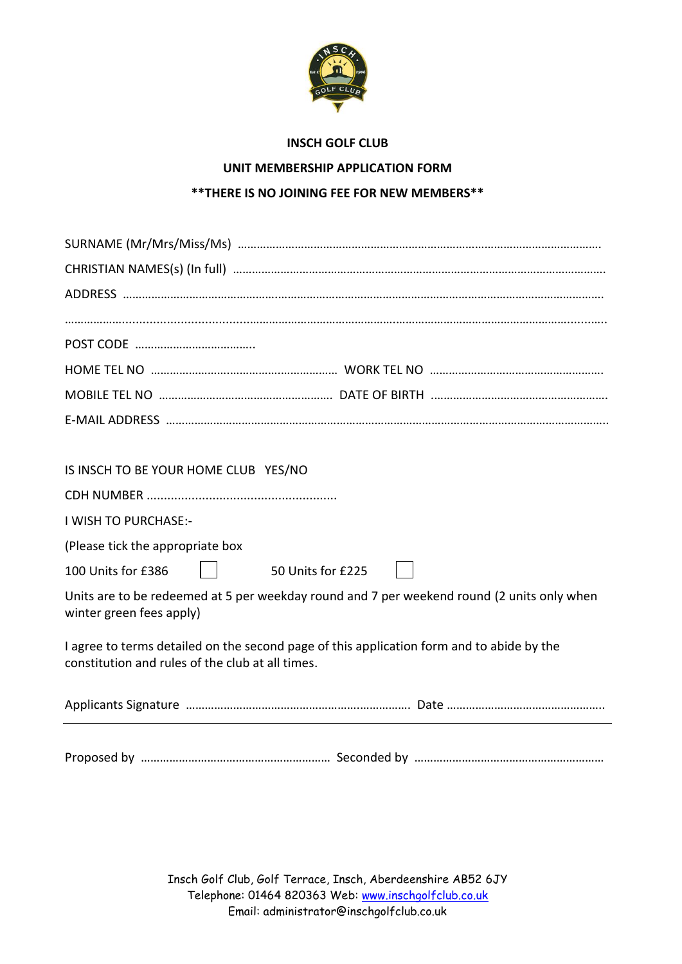

## **INSCH GOLF CLUB**

# **UNIT MEMBERSHIP APPLICATION FORM**

## **\*\*THERE IS NO JOINING FEE FOR NEW MEMBERS\*\***

| IS INSCH TO BE YOUR HOME CLUB YES/NO                                                                                                          |
|-----------------------------------------------------------------------------------------------------------------------------------------------|
|                                                                                                                                               |
| I WISH TO PURCHASE:-                                                                                                                          |
| (Please tick the appropriate box                                                                                                              |
| 100 Units for £386<br>50 Units for £225                                                                                                       |
| Units are to be redeemed at 5 per weekday round and 7 per weekend round (2 units only when<br>winter green fees apply)                        |
| I agree to terms detailed on the second page of this application form and to abide by the<br>constitution and rules of the club at all times. |
|                                                                                                                                               |
|                                                                                                                                               |